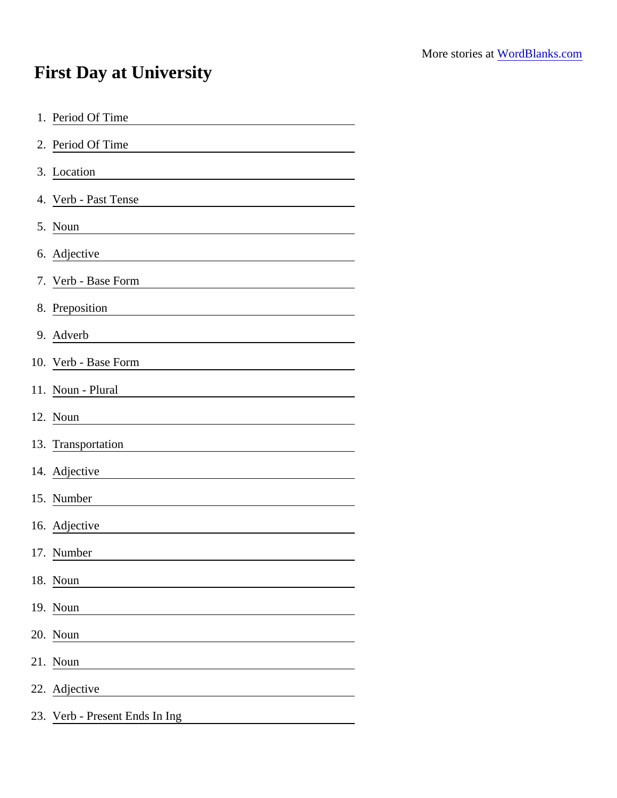## First Day at University

| 1. Period Of Time                                                      |
|------------------------------------------------------------------------|
| 2. Period Of Time                                                      |
| 3. Location                                                            |
| 4. Verb - Past Tense                                                   |
| 5. Noun                                                                |
| 6. Adjective                                                           |
| 7. Verb - Base Form                                                    |
| 8. Preposition                                                         |
| 9. Adverb                                                              |
| 10. Verb - Base Form                                                   |
| 11. Noun - Plural                                                      |
| 12. Noun                                                               |
| 13. Transportation                                                     |
| 14. Adjective<br><u> 1989 - Johann Stein, fransk politik (d. 1989)</u> |
| 15. Number                                                             |
| 16. Adjective                                                          |
| 17. Number                                                             |
| 18. Noun                                                               |
| 19. Noun                                                               |
| 20. Noun                                                               |
| 21. Noun                                                               |
| 22. Adjective                                                          |
| 23. Verb - Present Ends In Ing                                         |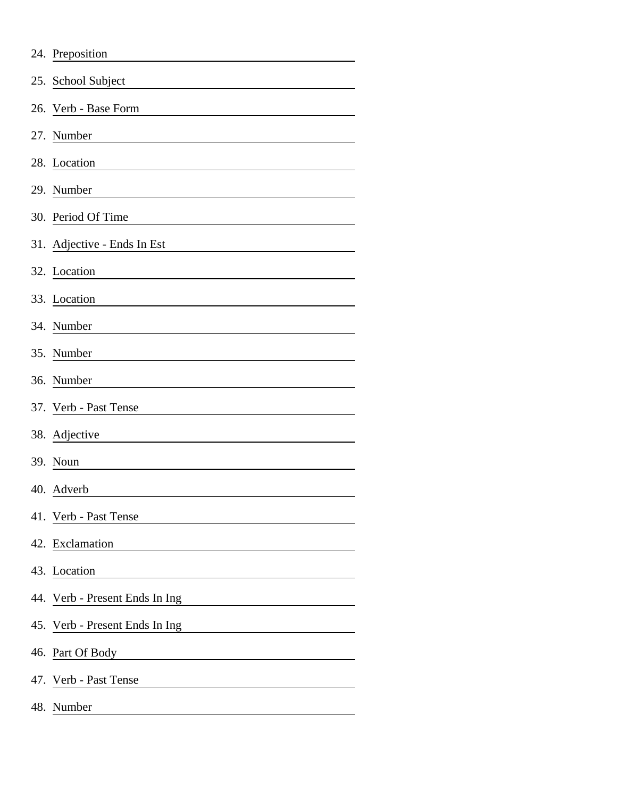|     | 24. Preposition                |
|-----|--------------------------------|
|     | 25. School Subject             |
| 26. | Verb - Base Form               |
|     | 27. Number                     |
|     | 28. Location                   |
|     | 29. Number                     |
|     | 30. Period Of Time             |
|     | 31. Adjective - Ends In Est    |
|     | 32. Location                   |
|     | 33. Location                   |
|     | 34. Number                     |
|     | 35. Number                     |
|     | 36. Number                     |
|     | 37. Verb - Past Tense          |
|     | 38. Adjective                  |
|     | 39. Noun                       |
|     | 40. Adverb                     |
|     | 41. Verb - Past Tense          |
|     | 42. Exclamation                |
|     | 43. Location                   |
|     | 44. Verb - Present Ends In Ing |
|     | 45. Verb - Present Ends In Ing |
|     | 46. Part Of Body               |
|     | 47. Verb - Past Tense          |
|     | 48. Number                     |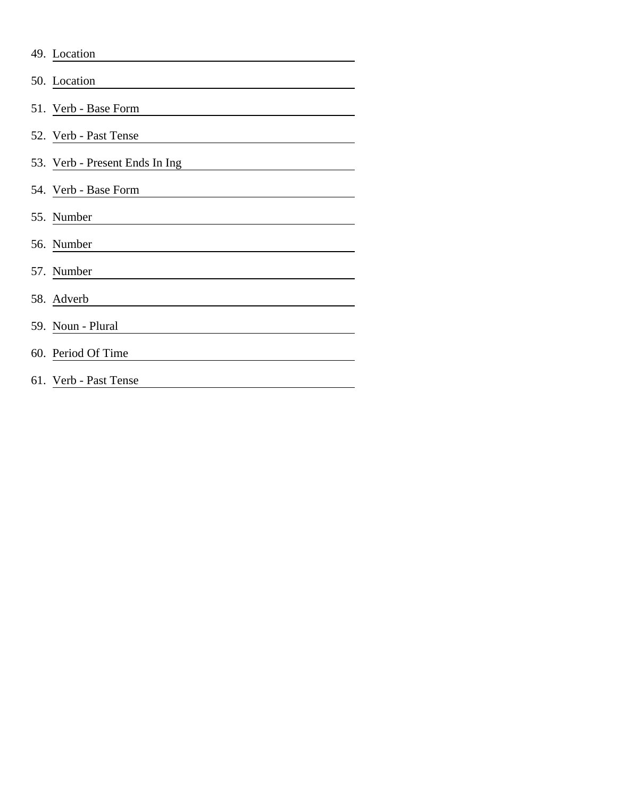| 49. Location                   |
|--------------------------------|
| 50. Location                   |
| 51. Verb - Base Form           |
| 52. Verb - Past Tense          |
| 53. Verb - Present Ends In Ing |
| 54. Verb - Base Form           |
| 55. Number                     |
| 56. Number                     |
| 57. Number                     |
| 58. Adverb                     |
| 59. Noun - Plural              |
| 60. Period Of Time             |
| 61. Verb - Past Tense          |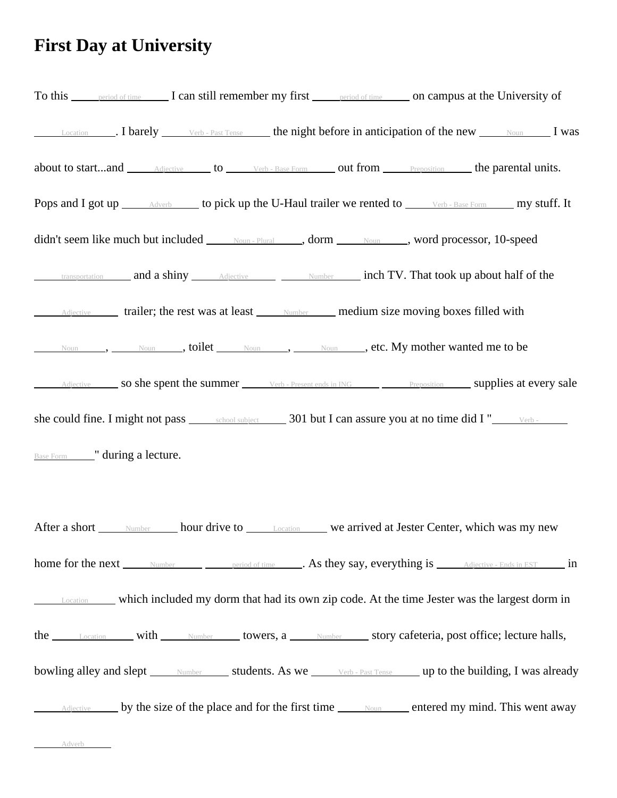## **First Day at University**

| To this period of time I can still remember my first period of time on campus at the University of                                                                                                                            |  |
|-------------------------------------------------------------------------------------------------------------------------------------------------------------------------------------------------------------------------------|--|
| Location 1 Dearely Verb - Past Tense the night before in anticipation of the new Noun I was                                                                                                                                   |  |
| about to startand <i>Adjective</i> to <i>Verb</i> - Base Form out from <i>Preposition</i> the parental units.                                                                                                                 |  |
| Pops and I got up <i>Adverb</i> to pick up the U-Haul trailer we rented to <i>Verb-Base Form</i> my stuff. It                                                                                                                 |  |
| didn't seem like much but included Moun-Plural , dorm Moun Noun , word processor, 10-speed                                                                                                                                    |  |
| <b>Examsportation</b> and a shiny <b>Adjective</b> Mumber <b>Number 11 and a shiny and a shiny Adjective Number Number 11 and a shiny Adjective Number 21 and a shiny Adjective 21 and a shiny Adjective 21 and </b>          |  |
| Adjective trailer; the rest was at least <u>Number</u> medium size moving boxes filled with                                                                                                                                   |  |
| Noun, Noun, Noun, Noun, Noun, Noun, Noun, Noun, Noun, Noun, Noun, Noun, Noun, Noun, Noun, Noun, Noun, Noun, Noun, Noun, Noun, Noun, Noun, Noun, Noun, Noun, Noun, Noun, Noun, Noun, Noun, Noun, Noun, Noun, Noun, Noun, Noun, |  |
| Adjective so she spent the summer Verb - Present ends in ING Preposition Supplies at every sale                                                                                                                               |  |
|                                                                                                                                                                                                                               |  |
| <b>Base Form</b> " during a lecture.                                                                                                                                                                                          |  |
|                                                                                                                                                                                                                               |  |
| After a short <u>Number</u> hour drive to <b>Location</b> we arrived at Jester Center, which was my new                                                                                                                       |  |
| home for the next <u>Number period of time</u> As they say, everything is <u>Adjective - Ends in EST</u> in                                                                                                                   |  |
| <b>Location</b> which included my dorm that had its own zip code. At the time Jester was the largest dorm in                                                                                                                  |  |
| the Location with Number towers, a Number story cafeteria, post office; lecture halls,                                                                                                                                        |  |
| bowling alley and slept Number Students. As we Werb-Past Tense Up to the building, I was already                                                                                                                              |  |
| Adjective by the size of the place and for the first time Moun entered my mind. This went away                                                                                                                                |  |
| Adverb                                                                                                                                                                                                                        |  |